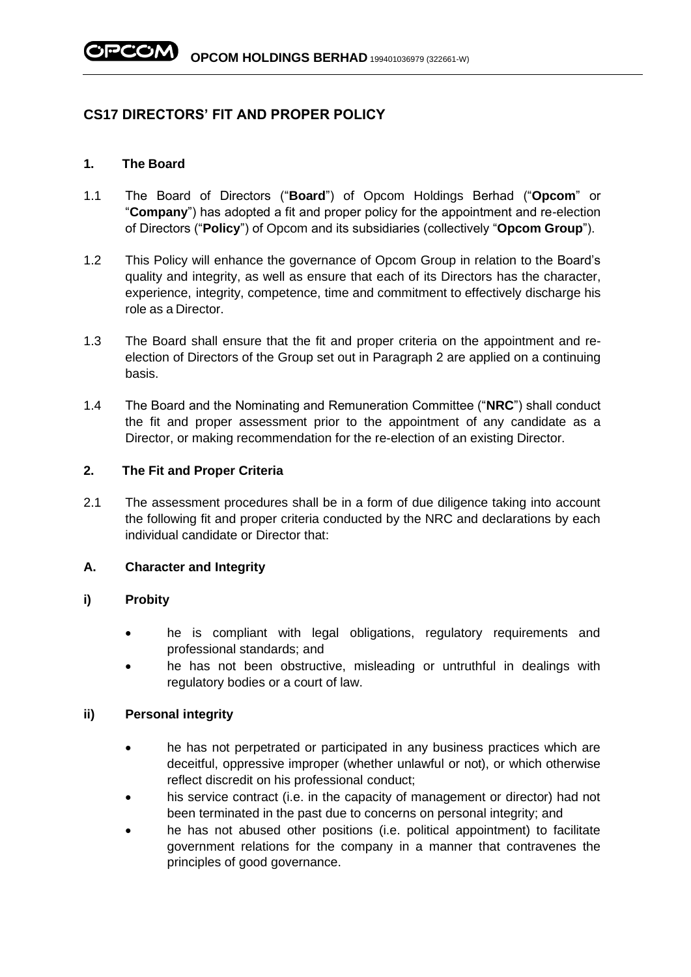# **CS17 DIRECTORS' FIT AND PROPER POLICY**

### **1. The Board**

- 1.1 The Board of Directors ("**Board**") of Opcom Holdings Berhad ("**Opcom**" or "**Company**") has adopted a fit and proper policy for the appointment and re-election of Directors ("**Policy**") of Opcom and its subsidiaries (collectively "**Opcom Group**").
- 1.2 This Policy will enhance the governance of Opcom Group in relation to the Board's quality and integrity, as well as ensure that each of its Directors has the character, experience, integrity, competence, time and commitment to effectively discharge his role as a Director.
- 1.3 The Board shall ensure that the fit and proper criteria on the appointment and reelection of Directors of the Group set out in Paragraph 2 are applied on a continuing basis.
- 1.4 The Board and the Nominating and Remuneration Committee ("**NRC**") shall conduct the fit and proper assessment prior to the appointment of any candidate as a Director, or making recommendation for the re-election of an existing Director.

#### **2. The Fit and Proper Criteria**

2.1 The assessment procedures shall be in a form of due diligence taking into account the following fit and proper criteria conducted by the NRC and declarations by each individual candidate or Director that:

### **A. Character and Integrity**

### **i) Probity**

- he is compliant with legal obligations, regulatory requirements and professional standards; and
- he has not been obstructive, misleading or untruthful in dealings with regulatory bodies or a court of law.

#### **ii) Personal integrity**

- he has not perpetrated or participated in any business practices which are deceitful, oppressive improper (whether unlawful or not), or which otherwise reflect discredit on his professional conduct;
- his service contract (i.e. in the capacity of management or director) had not been terminated in the past due to concerns on personal integrity; and
- he has not abused other positions (i.e. political appointment) to facilitate government relations for the company in a manner that contravenes the principles of good governance.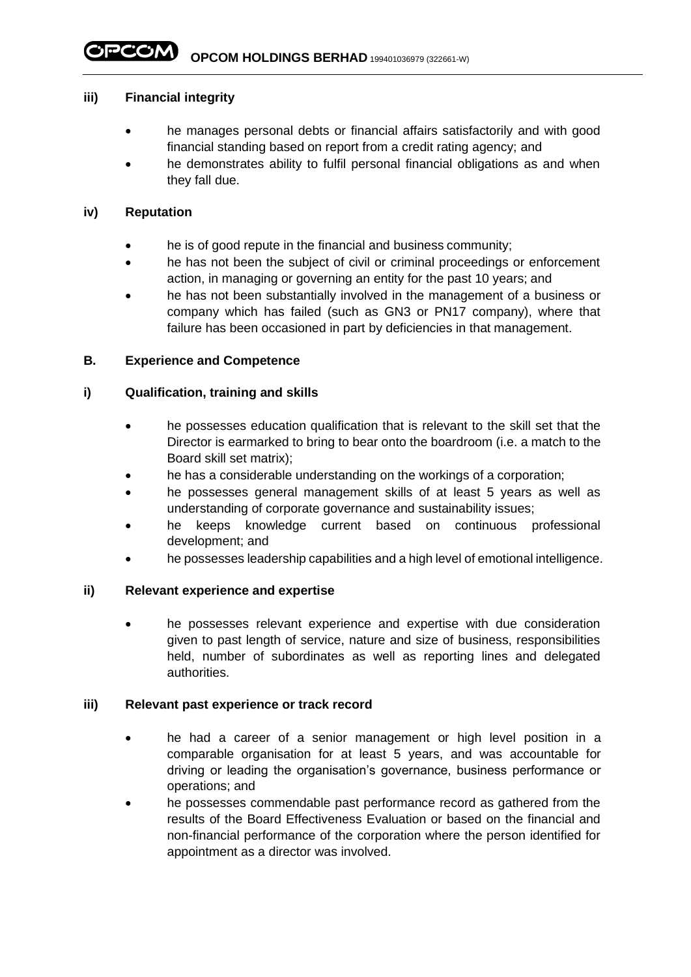### **iii) Financial integrity**

- he manages personal debts or financial affairs satisfactorily and with good financial standing based on report from a credit rating agency; and
- he demonstrates ability to fulfil personal financial obligations as and when they fall due.

### **iv) Reputation**

- he is of good repute in the financial and business community;
- he has not been the subject of civil or criminal proceedings or enforcement action, in managing or governing an entity for the past 10 years; and
- he has not been substantially involved in the management of a business or company which has failed (such as GN3 or PN17 company), where that failure has been occasioned in part by deficiencies in that management.

## **B. Experience and Competence**

## **i) Qualification, training and skills**

- he possesses education qualification that is relevant to the skill set that the Director is earmarked to bring to bear onto the boardroom (i.e. a match to the Board skill set matrix);
- he has a considerable understanding on the workings of a corporation;
- he possesses general management skills of at least 5 years as well as understanding of corporate governance and sustainability issues;
- he keeps knowledge current based on continuous professional development; and
- he possesses leadership capabilities and a high level of emotional intelligence.

### **ii) Relevant experience and expertise**

he possesses relevant experience and expertise with due consideration given to past length of service, nature and size of business, responsibilities held, number of subordinates as well as reporting lines and delegated authorities.

### **iii) Relevant past experience or track record**

- he had a career of a senior management or high level position in a comparable organisation for at least 5 years, and was accountable for driving or leading the organisation's governance, business performance or operations; and
- he possesses commendable past performance record as gathered from the results of the Board Effectiveness Evaluation or based on the financial and non-financial performance of the corporation where the person identified for appointment as a director was involved.